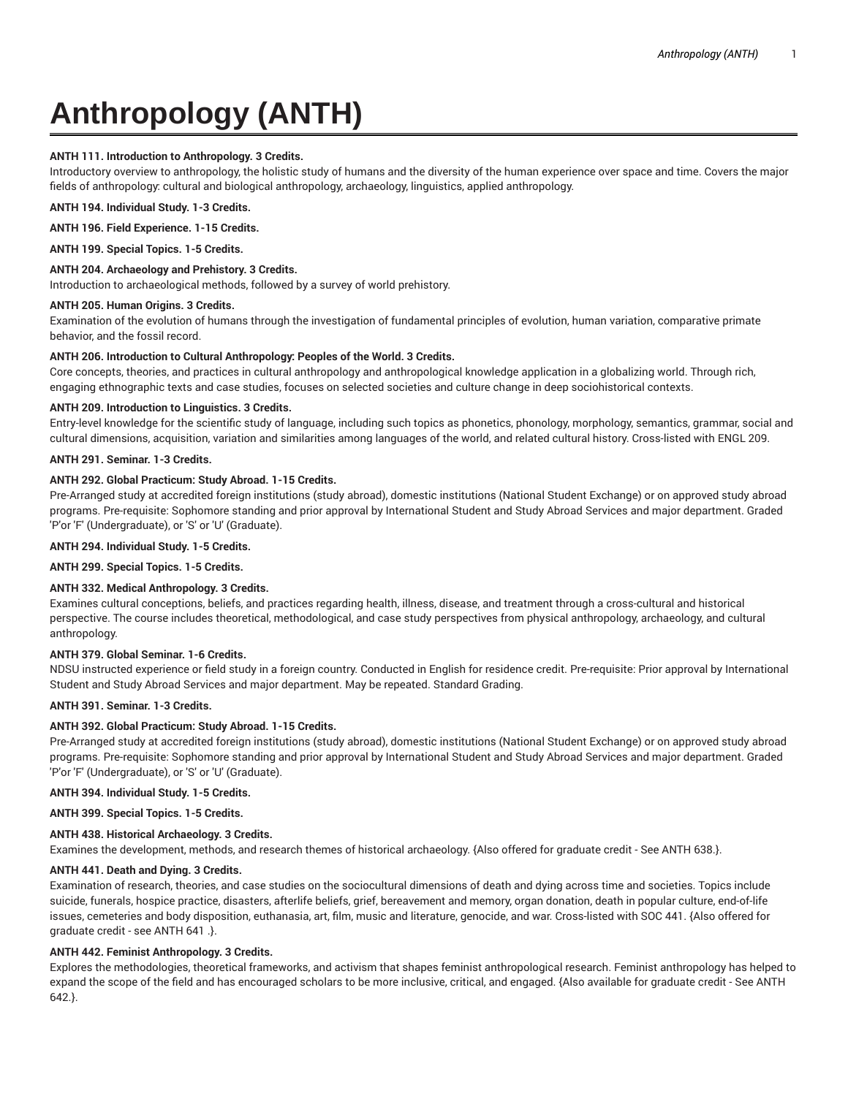# **Anthropology (ANTH)**

# **ANTH 111. Introduction to Anthropology. 3 Credits.**

Introductory overview to anthropology, the holistic study of humans and the diversity of the human experience over space and time. Covers the major fields of anthropology: cultural and biological anthropology, archaeology, linguistics, applied anthropology.

**ANTH 194. Individual Study. 1-3 Credits.**

**ANTH 196. Field Experience. 1-15 Credits.**

**ANTH 199. Special Topics. 1-5 Credits.**

## **ANTH 204. Archaeology and Prehistory. 3 Credits.**

Introduction to archaeological methods, followed by a survey of world prehistory.

# **ANTH 205. Human Origins. 3 Credits.**

Examination of the evolution of humans through the investigation of fundamental principles of evolution, human variation, comparative primate behavior, and the fossil record.

### **ANTH 206. Introduction to Cultural Anthropology: Peoples of the World. 3 Credits.**

Core concepts, theories, and practices in cultural anthropology and anthropological knowledge application in a globalizing world. Through rich, engaging ethnographic texts and case studies, focuses on selected societies and culture change in deep sociohistorical contexts.

# **ANTH 209. Introduction to Linguistics. 3 Credits.**

Entry-level knowledge for the scientific study of language, including such topics as phonetics, phonology, morphology, semantics, grammar, social and cultural dimensions, acquisition, variation and similarities among languages of the world, and related cultural history. Cross-listed with ENGL 209.

# **ANTH 291. Seminar. 1-3 Credits.**

# **ANTH 292. Global Practicum: Study Abroad. 1-15 Credits.**

Pre-Arranged study at accredited foreign institutions (study abroad), domestic institutions (National Student Exchange) or on approved study abroad programs. Pre-requisite: Sophomore standing and prior approval by International Student and Study Abroad Services and major department. Graded 'P'or 'F' (Undergraduate), or 'S' or 'U' (Graduate).

**ANTH 294. Individual Study. 1-5 Credits.**

**ANTH 299. Special Topics. 1-5 Credits.**

# **ANTH 332. Medical Anthropology. 3 Credits.**

Examines cultural conceptions, beliefs, and practices regarding health, illness, disease, and treatment through a cross-cultural and historical perspective. The course includes theoretical, methodological, and case study perspectives from physical anthropology, archaeology, and cultural anthropology.

### **ANTH 379. Global Seminar. 1-6 Credits.**

NDSU instructed experience or field study in a foreign country. Conducted in English for residence credit. Pre-requisite: Prior approval by International Student and Study Abroad Services and major department. May be repeated. Standard Grading.

# **ANTH 391. Seminar. 1-3 Credits.**

### **ANTH 392. Global Practicum: Study Abroad. 1-15 Credits.**

Pre-Arranged study at accredited foreign institutions (study abroad), domestic institutions (National Student Exchange) or on approved study abroad programs. Pre-requisite: Sophomore standing and prior approval by International Student and Study Abroad Services and major department. Graded 'P'or 'F' (Undergraduate), or 'S' or 'U' (Graduate).

**ANTH 394. Individual Study. 1-5 Credits.**

**ANTH 399. Special Topics. 1-5 Credits.**

### **ANTH 438. Historical Archaeology. 3 Credits.**

Examines the development, methods, and research themes of historical archaeology. {Also offered for graduate credit - See ANTH 638.}.

### **ANTH 441. Death and Dying. 3 Credits.**

Examination of research, theories, and case studies on the sociocultural dimensions of death and dying across time and societies. Topics include suicide, funerals, hospice practice, disasters, afterlife beliefs, grief, bereavement and memory, organ donation, death in popular culture, end-of-life issues, cemeteries and body disposition, euthanasia, art, film, music and literature, genocide, and war. Cross-listed with SOC 441. {Also offered for graduate credit - see ANTH 641 .}.

### **ANTH 442. Feminist Anthropology. 3 Credits.**

Explores the methodologies, theoretical frameworks, and activism that shapes feminist anthropological research. Feminist anthropology has helped to expand the scope of the field and has encouraged scholars to be more inclusive, critical, and engaged. {Also available for graduate credit - See ANTH 642.}.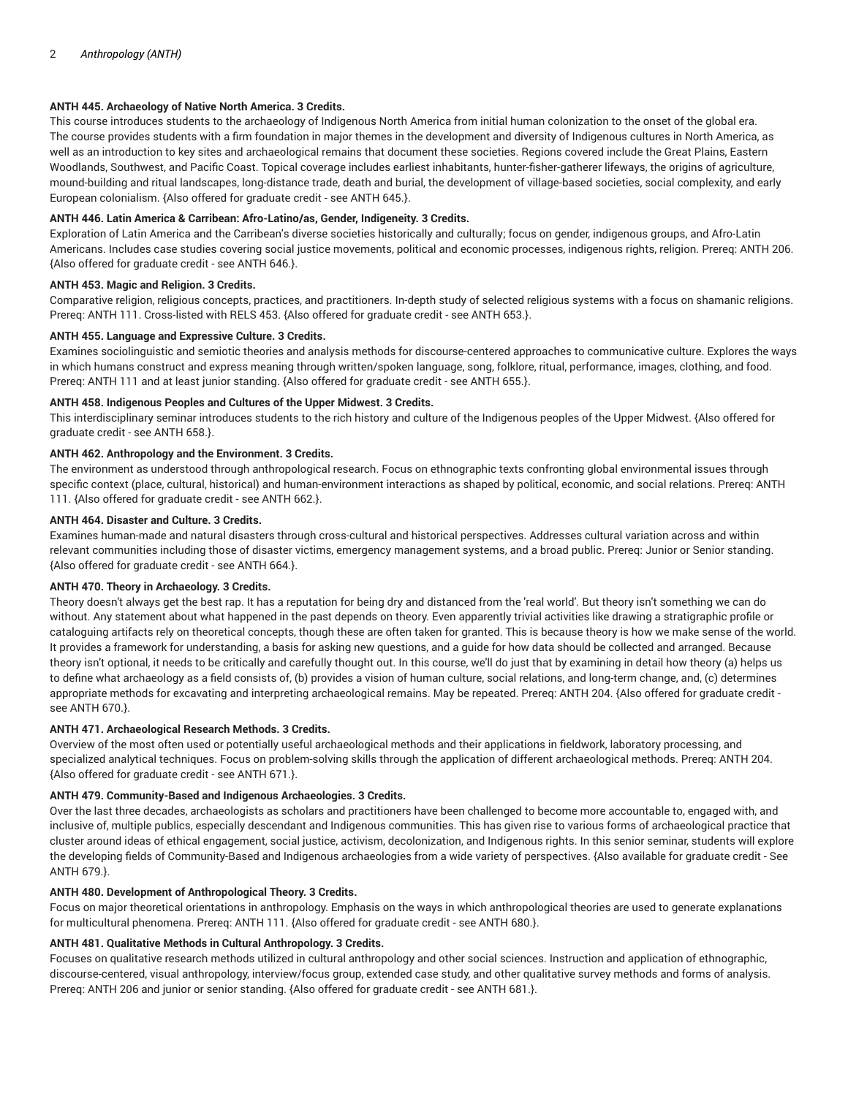# **ANTH 445. Archaeology of Native North America. 3 Credits.**

This course introduces students to the archaeology of Indigenous North America from initial human colonization to the onset of the global era. The course provides students with a firm foundation in major themes in the development and diversity of Indigenous cultures in North America, as well as an introduction to key sites and archaeological remains that document these societies. Regions covered include the Great Plains, Eastern Woodlands, Southwest, and Pacific Coast. Topical coverage includes earliest inhabitants, hunter-fisher-gatherer lifeways, the origins of agriculture, mound-building and ritual landscapes, long-distance trade, death and burial, the development of village-based societies, social complexity, and early European colonialism. {Also offered for graduate credit - see ANTH 645.}.

## **ANTH 446. Latin America & Carribean: Afro-Latino/as, Gender, Indigeneity. 3 Credits.**

Exploration of Latin America and the Carribean's diverse societies historically and culturally; focus on gender, indigenous groups, and Afro-Latin Americans. Includes case studies covering social justice movements, political and economic processes, indigenous rights, religion. Prereq: ANTH 206. {Also offered for graduate credit - see ANTH 646.}.

### **ANTH 453. Magic and Religion. 3 Credits.**

Comparative religion, religious concepts, practices, and practitioners. In-depth study of selected religious systems with a focus on shamanic religions. Prereq: ANTH 111. Cross-listed with RELS 453. {Also offered for graduate credit - see ANTH 653.}.

## **ANTH 455. Language and Expressive Culture. 3 Credits.**

Examines sociolinguistic and semiotic theories and analysis methods for discourse-centered approaches to communicative culture. Explores the ways in which humans construct and express meaning through written/spoken language, song, folklore, ritual, performance, images, clothing, and food. Prereq: ANTH 111 and at least junior standing. {Also offered for graduate credit - see ANTH 655.}.

## **ANTH 458. Indigenous Peoples and Cultures of the Upper Midwest. 3 Credits.**

This interdisciplinary seminar introduces students to the rich history and culture of the Indigenous peoples of the Upper Midwest. {Also offered for graduate credit - see ANTH 658.}.

#### **ANTH 462. Anthropology and the Environment. 3 Credits.**

The environment as understood through anthropological research. Focus on ethnographic texts confronting global environmental issues through specific context (place, cultural, historical) and human-environment interactions as shaped by political, economic, and social relations. Prereq: ANTH 111. {Also offered for graduate credit - see ANTH 662.}.

#### **ANTH 464. Disaster and Culture. 3 Credits.**

Examines human-made and natural disasters through cross-cultural and historical perspectives. Addresses cultural variation across and within relevant communities including those of disaster victims, emergency management systems, and a broad public. Prereq: Junior or Senior standing. {Also offered for graduate credit - see ANTH 664.}.

### **ANTH 470. Theory in Archaeology. 3 Credits.**

Theory doesn't always get the best rap. It has a reputation for being dry and distanced from the 'real world'. But theory isn't something we can do without. Any statement about what happened in the past depends on theory. Even apparently trivial activities like drawing a stratigraphic profile or cataloguing artifacts rely on theoretical concepts, though these are often taken for granted. This is because theory is how we make sense of the world. It provides a framework for understanding, a basis for asking new questions, and a guide for how data should be collected and arranged. Because theory isn't optional, it needs to be critically and carefully thought out. In this course, we'll do just that by examining in detail how theory (a) helps us to define what archaeology as a field consists of, (b) provides a vision of human culture, social relations, and long-term change, and, (c) determines appropriate methods for excavating and interpreting archaeological remains. May be repeated. Prereq: ANTH 204. {Also offered for graduate credit see ANTH 670.}.

# **ANTH 471. Archaeological Research Methods. 3 Credits.**

Overview of the most often used or potentially useful archaeological methods and their applications in fieldwork, laboratory processing, and specialized analytical techniques. Focus on problem-solving skills through the application of different archaeological methods. Prereq: ANTH 204. {Also offered for graduate credit - see ANTH 671.}.

### **ANTH 479. Community-Based and Indigenous Archaeologies. 3 Credits.**

Over the last three decades, archaeologists as scholars and practitioners have been challenged to become more accountable to, engaged with, and inclusive of, multiple publics, especially descendant and Indigenous communities. This has given rise to various forms of archaeological practice that cluster around ideas of ethical engagement, social justice, activism, decolonization, and Indigenous rights. In this senior seminar, students will explore the developing fields of Community-Based and Indigenous archaeologies from a wide variety of perspectives. {Also available for graduate credit - See ANTH 679.}.

### **ANTH 480. Development of Anthropological Theory. 3 Credits.**

Focus on major theoretical orientations in anthropology. Emphasis on the ways in which anthropological theories are used to generate explanations for multicultural phenomena. Prereq: ANTH 111. {Also offered for graduate credit - see ANTH 680.}.

# **ANTH 481. Qualitative Methods in Cultural Anthropology. 3 Credits.**

Focuses on qualitative research methods utilized in cultural anthropology and other social sciences. Instruction and application of ethnographic, discourse-centered, visual anthropology, interview/focus group, extended case study, and other qualitative survey methods and forms of analysis. Prereq: ANTH 206 and junior or senior standing. {Also offered for graduate credit - see ANTH 681.}.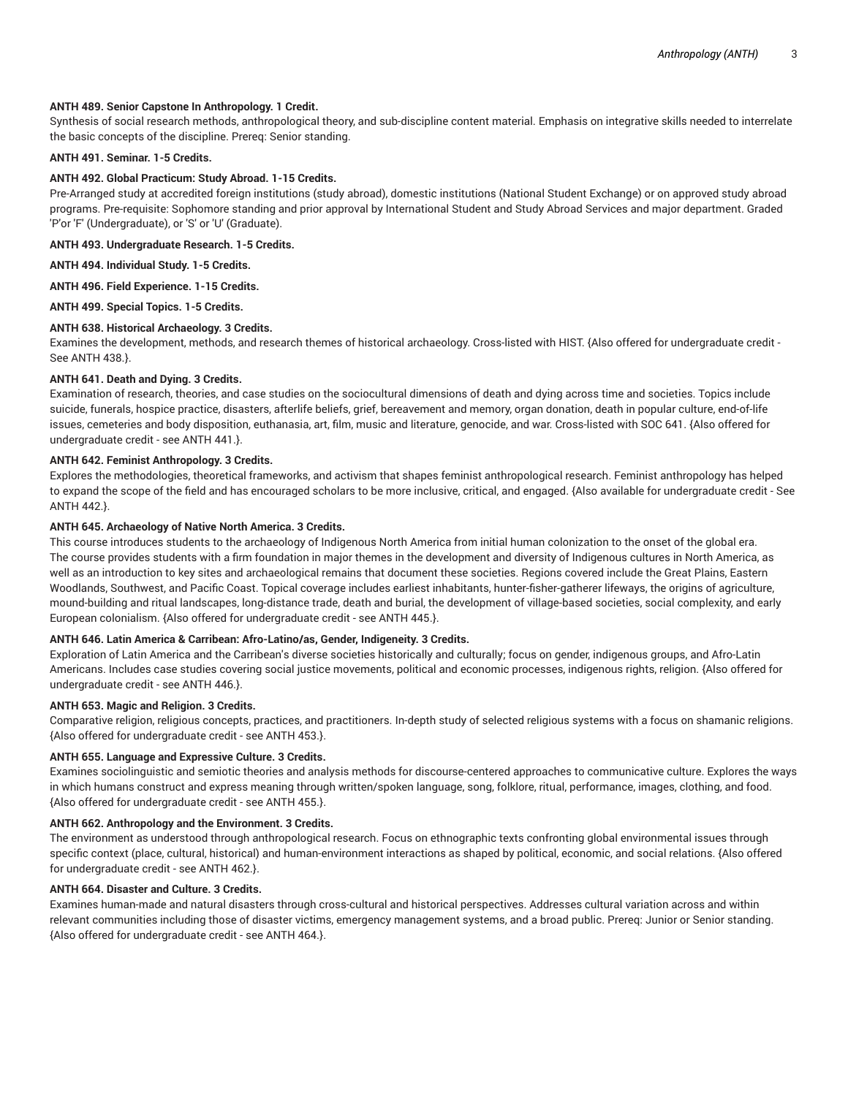## **ANTH 489. Senior Capstone In Anthropology. 1 Credit.**

Synthesis of social research methods, anthropological theory, and sub-discipline content material. Emphasis on integrative skills needed to interrelate the basic concepts of the discipline. Prereq: Senior standing.

# **ANTH 491. Seminar. 1-5 Credits.**

#### **ANTH 492. Global Practicum: Study Abroad. 1-15 Credits.**

Pre-Arranged study at accredited foreign institutions (study abroad), domestic institutions (National Student Exchange) or on approved study abroad programs. Pre-requisite: Sophomore standing and prior approval by International Student and Study Abroad Services and major department. Graded 'P'or 'F' (Undergraduate), or 'S' or 'U' (Graduate).

**ANTH 493. Undergraduate Research. 1-5 Credits.**

**ANTH 494. Individual Study. 1-5 Credits.**

**ANTH 496. Field Experience. 1-15 Credits.**

**ANTH 499. Special Topics. 1-5 Credits.**

#### **ANTH 638. Historical Archaeology. 3 Credits.**

Examines the development, methods, and research themes of historical archaeology. Cross-listed with HIST. {Also offered for undergraduate credit - See ANTH 438.}.

#### **ANTH 641. Death and Dying. 3 Credits.**

Examination of research, theories, and case studies on the sociocultural dimensions of death and dying across time and societies. Topics include suicide, funerals, hospice practice, disasters, afterlife beliefs, grief, bereavement and memory, organ donation, death in popular culture, end-of-life issues, cemeteries and body disposition, euthanasia, art, film, music and literature, genocide, and war. Cross-listed with SOC 641. {Also offered for undergraduate credit - see ANTH 441.}.

#### **ANTH 642. Feminist Anthropology. 3 Credits.**

Explores the methodologies, theoretical frameworks, and activism that shapes feminist anthropological research. Feminist anthropology has helped to expand the scope of the field and has encouraged scholars to be more inclusive, critical, and engaged. {Also available for undergraduate credit - See ANTH 442.}.

#### **ANTH 645. Archaeology of Native North America. 3 Credits.**

This course introduces students to the archaeology of Indigenous North America from initial human colonization to the onset of the global era. The course provides students with a firm foundation in major themes in the development and diversity of Indigenous cultures in North America, as well as an introduction to key sites and archaeological remains that document these societies. Regions covered include the Great Plains, Eastern Woodlands, Southwest, and Pacific Coast. Topical coverage includes earliest inhabitants, hunter-fisher-gatherer lifeways, the origins of agriculture, mound-building and ritual landscapes, long-distance trade, death and burial, the development of village-based societies, social complexity, and early European colonialism. {Also offered for undergraduate credit - see ANTH 445.}.

## **ANTH 646. Latin America & Carribean: Afro-Latino/as, Gender, Indigeneity. 3 Credits.**

Exploration of Latin America and the Carribean's diverse societies historically and culturally; focus on gender, indigenous groups, and Afro-Latin Americans. Includes case studies covering social justice movements, political and economic processes, indigenous rights, religion. {Also offered for undergraduate credit - see ANTH 446.}.

## **ANTH 653. Magic and Religion. 3 Credits.**

Comparative religion, religious concepts, practices, and practitioners. In-depth study of selected religious systems with a focus on shamanic religions. {Also offered for undergraduate credit - see ANTH 453.}.

#### **ANTH 655. Language and Expressive Culture. 3 Credits.**

Examines sociolinguistic and semiotic theories and analysis methods for discourse-centered approaches to communicative culture. Explores the ways in which humans construct and express meaning through written/spoken language, song, folklore, ritual, performance, images, clothing, and food. {Also offered for undergraduate credit - see ANTH 455.}.

#### **ANTH 662. Anthropology and the Environment. 3 Credits.**

The environment as understood through anthropological research. Focus on ethnographic texts confronting global environmental issues through specific context (place, cultural, historical) and human-environment interactions as shaped by political, economic, and social relations. {Also offered for undergraduate credit - see ANTH 462.}.

## **ANTH 664. Disaster and Culture. 3 Credits.**

Examines human-made and natural disasters through cross-cultural and historical perspectives. Addresses cultural variation across and within relevant communities including those of disaster victims, emergency management systems, and a broad public. Prereq: Junior or Senior standing. {Also offered for undergraduate credit - see ANTH 464.}.